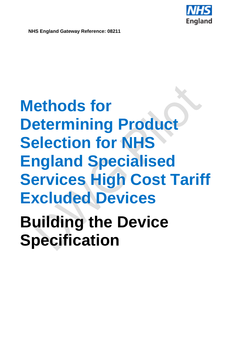

**NHS England Gateway Reference: 08211**

# **Methods for Determining Product Selection for NHS England Specialised Services High Cost Tariff Excluded Devices**

**Building the Device Specification**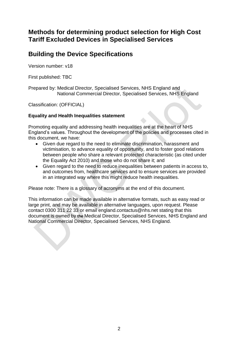# **Methods for determining product selection for High Cost Tariff Excluded Devices in Specialised Services**

# **Building the Device Specifications**

Version number: v18

First published: TBC

Prepared by: Medical Director, Specialised Services, NHS England and National Commercial Director, Specialised Services, NHS England

Classification: (OFFICIAL)

#### **Equality and Health Inequalities statement**

Promoting equality and addressing health inequalities are at the heart of NHS England's values. Throughout the development of the policies and processes cited in this document, we have:

- Given due regard to the need to eliminate discrimination, harassment and victimisation, to advance equality of opportunity, and to foster good relations between people who share a relevant protected characteristic (as cited under the Equality Act 2010) and those who do not share it; and
- Given regard to the need to reduce inequalities between patients in access to, and outcomes from, healthcare services and to ensure services are provided in an integrated way where this might reduce health inequalities.

Please note: There is a glossary of acronyms at the end of this document.

This information can be made available in alternative formats, such as easy read or large print, and may be available in alternative languages, upon request. Please contact 0300 311 22 33 or email [england.contactus@nhs.net](mailto:england.contactus@nhs.net) stating that this document is owned by **the** Medical Director, Specialised Services, NHS England and National Commercial Director, Specialised Services, NHS England.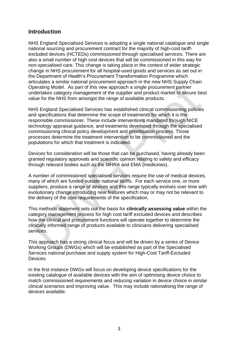# **Introduction**

NHS England Specialised Services is adopting a single national catalogue and single national sourcing and procurement contract for the majority of high-cost tariffexcluded devices (HCTEDs) commissioned through specialised services. There are also a small number of high cost devices that will be commissioned in this way for non-specialised care. This change is taking place in the context of wider strategic change in NHS procurement for all hospital-used goods and services as set out in the Department of Health's Procurement Transformation Programme which articulates a similar national procurement approach in the new NHS Supply Chain Operating Model. As part of this new approach a single procurement partner undertakes category management of the supplier and product market to secure best value for the NHS from amongst the range of available products.

NHS England Specialised Services has established clinical commissioning policies and specifications that determine the scope of treatments for which it is the responsible commissioner. These include interventions mandated through NICE technology appraisal guidance, and treatments developed through the specialised commissioning clinical policy development and prioritisation process. Those processes determine the treatment intervention to be commissioned and the populations for which that treatment is indicated.

Devices for consideration will be those that can be purchased, having already been granted regulatory approvals and scientific opinion relating to safety and efficacy through relevant bodies such as the MHRA and EMA (medicines).

A number of commissioned specialised services require the use of medical devices, many of which are funded outside national tariffs. For each service one, or more suppliers, produce a range of devices and this range typically evolves over time with evolutionary change introducing new features which may or may not be relevant to the delivery of the core requirements of the specification.

This methods statement sets out the basis for **clinically assessing value** within the category management process for high cost tariff excluded devices and describes how the clinical and procurement functions will operate together to determine the clinically informed range of products available to clinicians delivering specialised services.

This approach has a strong clinical focus and will be driven by a series of Device Working Groups (DWGs) which will be established as part of the Specialised Services national purchase and supply system for High-Cost Tariff-Excluded Devices.

In the first instance DWGs will focus on developing device specifications for the existing catalogue of available devices with the aim of optimising device choice to match commissioned requirements and reducing variation in device choice in similar clinical scenarios and improving value. This may include rationalising the range of devices available.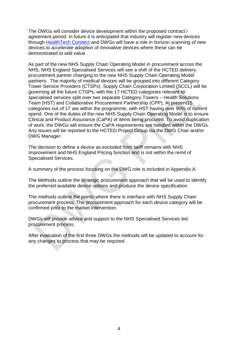The DWGs will consider device development within the proposed contract / agreement period. In future it is anticipated that industry will register new devices through [HealthTech](https://www.healthtechconnect.org.uk/) Connect and DWGs will have a role in horizon scanning of new devices to accelerate adoption of innovative devices where these can be demonstrated to add value.

As part of the new NHS Supply Chain Operating Model in procurement across the NHS, NHS England Specialised Services will see a shift of the HCTED delivery procurement partner changing to the new NHS Supply Chain Operating Model partners. The majority of medical devices will be grouped into different Category Tower Service Providers (CTSPs). Supply Chain Corporation Limited (SCCL) will be governing all the future CTSPs, with the 17 HCTED categories relevant to specialised services split over two separate Category Towers – Health Solutions Team (HST) and Collaborative Procurement Partnership (CPP). At present15 categories out of 17 are within the programme; with HST having over 90% of current spend. One of the duties of the new NHS Supply Chain Operating Model is to ensure Clinical and Product Assurance (CaPA) of items being procured. To avoid duplication of work, the DWGs will ensure the CaPA requirements are handled within the DWGs. Any issues will be reported to the HCTED Project Group via the DWG Chair and/or DWG Manager.

The decision to define a device as excluded from tariff remains with NHS Improvement and NHS England Pricing function and is not within the remit of Specialised Services.

A summary of the process focusing on the DWG role is included in Appendix A.

The Methods outline the strategic procurement approach that will be used to identify the preferred available device options and produce the device specification.

The methods outline the points where there is interface with NHS Supply Chain procurement process. The procurement approach for each device category will be confirmed prior to the market intervention.

DWGs will provide advice and support to the NHS Specialised Services led procurement process.

After evaluation of the first three DWGs the methods will be updated to account for any changes to process that may be required.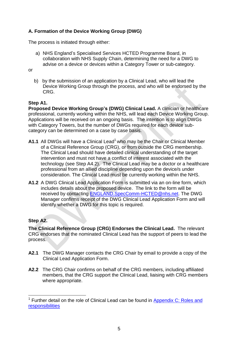# **A. Formation of the Device Working Group (DWG)**

The process is initiated through either:

- a) NHS England's Specialised Services HCTED Programme Board, in collaboration with NHS Supply Chain, determining the need for a DWG to advise on a device or devices within a Category Tower or sub-category.
- or
	- b) by the submission of an application by a Clinical Lead, who will lead the Device Working Group through the process, and who will be endorsed by the CRG.

#### **Step A1.**

**Proposed Device Working Group's (DWG) Clinical Lead.** A clinician or healthcare professional, currently working within the NHS, will lead each Device Working Group. Applications will be received on an ongoing basis. The intention is to align DWGs with Category Towers, but the number of DWGs required for each device subcategory can be determined on a case by case basis.

- **A1.1** All DWGs will have a Clinical Lead<sup>1</sup> who may be the Chair or Clinical Member of a Clinical Reference Group (CRG), or from outside the CRG membership. The Clinical Lead should have detailed clinical understanding of the target intervention and must not have a conflict of interest associated with the technology (see Step A4.2). The Clinical Lead may be a doctor or a healthcare professional from an allied discipline depending upon the device/s under consideration. The Clinical Lead must be currently working within the NHS.
- **A1.2** A DWG Clinical Lead Application Form is submitted via an on-line form, which includes details about the proposed device. The link to the form will be received by contacting [ENGLAND.SpecComm-HCTED@nhs.net.](mailto:ENGLAND.SpecComm-HCTED@nhs.net) The DWG Manager confirms receipt of the DWG Clinical Lead Application Form and will identify whether a DWG for this topic is required.

## **Step A2.**

**The Clinical Reference Group (CRG) Endorses the Clinical Lead.** The relevant CRG endorses that the nominated Clinical Lead has the support of peers to lead the process.

- **A2.1** The DWG Manager contacts the CRG Chair by email to provide a copy of the Clinical Lead Application Form.
- **A2.2** The CRG Chair confirms on behalf of the CRG members, including affiliated members, that the CRG support the Clinical Lead, liaising with CRG members where appropriate.

l <sup>1</sup> Further detail on the role of Clinical Lead can be found in Appendix C: Roles and [responsibilities](#page-14-0)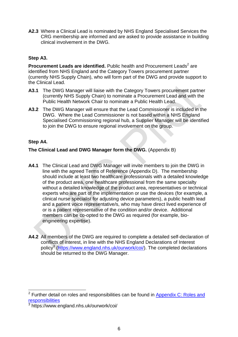**A2.3** Where a Clinical Lead is nominated by NHS England Specialised Services the CRG membership are informed and are asked to provide assistance in building clinical involvement in the DWG.

# **Step A3.**

**Procurement Leads are identified.** Public health and Procurement Leads<sup>2</sup> are identified from NHS England and the Category Towers procurement partner (currently NHS Supply Chain), who will form part of the DWG and provide support to the Clinical Lead.

- **A3.1** The DWG Manager will liaise with the Category Towers procurement partner (currently NHS Supply Chain) to nominate a Procurement Lead and with the Public Health Network Chair to nominate a Public Health Lead.
- **A3.2** The DWG Manager will ensure that the Lead Commissioner is included in the DWG. Where the Lead Commissioner is not based within a NHS England Specialised Commissioning regional hub, a Supplier Manager will be identified to join the DWG to ensure regional involvement on the group.

# **Step A4.**

# **The Clinical Lead and DWG Manager form the DWG.** (Appendix B)

- **A4.1** The Clinical Lead and DWG Manager will invite members to join the DWG in line with the agreed Terms of Reference (Appendix D). The membership should include at least two healthcare professionals with a detailed knowledge of the product area, one healthcare professional from the same specialty without a detailed knowledge of the product area, representatives or technical experts who are part of the implementation or use the devices (for example, a clinical nurse specialist for adjusting device parameters), a public health lead and a patient voice representative/s, who may have direct lived experience of or is a patient representative of the condition and/or device. Additional members can be co-opted to the DWG as required (for example, bioengineering expertise).
- **A4.2** All members of the DWG are required to complete a detailed self-declaration of conflicts of interest, in line with the NHS England Declarations of Interest policy<sup>3</sup> [\(https://www.england.nhs.uk/ourwork/coi/\)](https://www.england.nhs.uk/ourwork/coi/). The completed declarations should be returned to the DWG Manager.

<sup>&</sup>lt;u>2</u><br><sup>2</sup> Further detail on roles and responsibilities can be found in <u>Appendix C: Roles and</u> **[responsibilities](#page-14-0)** 

<sup>3</sup> https://www.england.nhs.uk/ourwork/coi/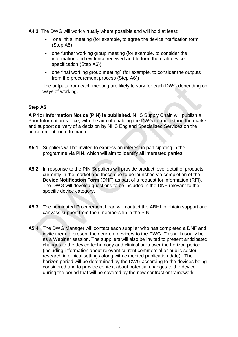**A4.3** The DWG will work virtually where possible and will hold at least:

- one initial meeting (for example, to agree the device notification form (Step A5)
- one further working group meeting (for example, to consider the information and evidence received and to form the draft device specification (Step A6))
- one final working group meeting<sup>4</sup> (for example, to consider the outputs from the procurement process (Step A6))

The outputs from each meeting are likely to vary for each DWG depending on ways of working.

#### **Step A5**

 $\overline{a}$ 

**A Prior Information Notice (PIN) is published.** NHS Supply Chain will publish a Prior Information Notice, with the aim of enabling the DWG to understand the market and support delivery of a decision by NHS England Specialised Services on the procurement route to market.

- **A5.1** Suppliers will be invited to express an interest in participating in the programme via **PIN**, which will aim to identify all interested parties.
- **A5.2** In response to the PIN Suppliers will provide product level detail of products currently in the market and those due to be launched via completion of the **Device Notification Form** (DNF) as part of a request for information (RFI). The DWG will develop questions to be included in the DNF relevant to the specific device category.
- **A5.3** The nominated Procurement Lead will contact the ABHI to obtain support and canvass support from their membership in the PIN.
- **A5.4** The DWG Manager will contact each supplier who has completed a DNF and invite them to present their current device/s to the DWG. This will usually be as a Webinar session. The suppliers will also be invited to present anticipated changes to the device technology and clinical area over the horizon period (including information about relevant current commercial or public-sector research in clinical settings along with expected publication date). The horizon period will be determined by the DWG according to the devices being considered and to provide context about potential changes to the device during the period that will be covered by the new contract or framework.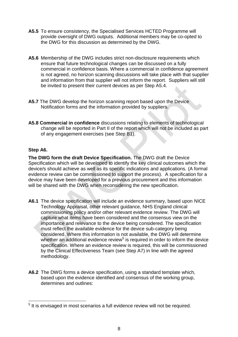- **A5.5** To ensure consistency, the Specialised Services HCTED Programme will provide oversight of DWG outputs. Additional members may be co-opted to the DWG for this discussion as determined by the DWG.
- **A5.6** Membership of the DWG includes strict non-disclosure requirements which ensure that future technological changes can be discussed on a fully commercial in confidence basis. Where a commercial in confidence agreement is not agreed, no horizon scanning discussions will take place with that supplier and information from that supplier will not inform the report. Suppliers will still be invited to present their current devices as per Step A5.4.
- **A5.7** The DWG develop the horizon scanning report based upon the Device Notification forms and the information provided by suppliers.
- **A5.8 Commercial in confidence** discussions relating to elements of technological change will be reported in Part II of the report which will not be included as part of any engagement exercises (see Step B1).

#### **Step A6.**

**The DWG form the draft Device Specification.** The DWG draft the Device Specification which will be developed to identify the key clinical outcomes which the device/s should achieve as well as its specific indications and applications. (A formal evidence review can be commissioned to support the process). A specification for a device may have been developed for a previous procurement and this information will be shared with the DWG when reconsidering the new specification.

- **A6.1** The device specification will include an evidence summary, based upon NICE Technology Appraisal, other relevant guidance, NHS England clinical commissioning policy and/or other relevant evidence review. The DWG will capture what items have been considered and the consensus view on the importance and relevance to the device being considered. The specification must reflect the available evidence for the device sub-category being considered. Where this information is not available, the DWG will determine whether an additional evidence review<sup>5</sup> is required in order to inform the device specification. Where an evidence review is required, this will be commissioned by the Clinical Effectiveness Team (see Step A7) in line with the agreed methodology.
- **A6.2** The DWG forms a device specification, using a standard template which, based upon the evidence identified and consensus of the working group, determines and outlines:

 5 It is envisaged in most scenarios a full evidence review will not be required.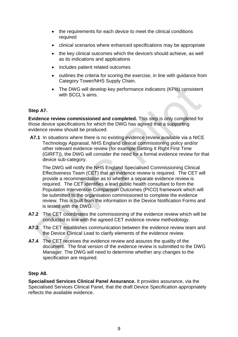- the requirements for each device to meet the clinical conditions required
- clinical scenarios where enhanced specifications may be appropriate
- the key clinical outcomes which the device/s should achieve, as well as its indications and applications
- includes patient related outcomes
- outlines the criteria for scoring the exercise, in line with guidance from Category Tower/NHS Supply Chain.
- The DWG will develop key performance indicators (KPIs) consistent with SCCL's aims.

## **Step A7.**

**Evidence review commissioned and completed.** This step is only completed for those device specifications for which the DWG has agreed that a supporting evidence review should be produced.

**A7.1** In situations where there is no existing evidence review available via a NICE Technology Appraisal, NHS England clinical commissioning policy and/or other relevant evidence review (for example Getting It Right First Time (GIRFT)), the DWG will consider the need for a formal evidence review for that device sub-category.

The DWG will notify the NHS England Specialised Commissioning Clinical Effectiveness Team (CET) that an evidence review is required. The CET will provide a recommendation as to whether a separate evidence review is required. The CET identifies a lead public health consultant to form the Population Intervention Comparison Outcomes (PICO) framework which will be submitted to the organisation commissioned to complete the evidence review. This is built from the information in the Device Notification Forms and is tested with the DWG.

- **A7.2** The CET coordinates the commissioning of the evidence review which will be conducted in line with the agreed CET evidence review methodology.
- **A7.3** The CET establishes communication between the evidence review team and the Device Clinical Lead to clarify elements of the evidence review.
- **A7.4** The CET receives the evidence review and assures the quality of the document. The final version of the evidence review is submitted to the DWG Manager. The DWG will need to determine whether any changes to the specification are required.

## **Step A8.**

**Specialised Services Clinical Panel Assurance.** It provides assurance, via the Specialised Services Clinical Panel, that the draft Device Specification appropriately reflects the available evidence.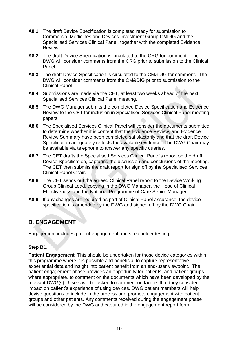- **A8.1** The draft Device Specification is completed ready for submission to Commercial Medicines and Devices Investment Group CMDIG and the Specialised Services Clinical Panel, together with the completed Evidence Review.
- **A8.2** The draft Device Specification is circulated to the CRG for comment. The DWG will consider comments from the CRG prior to submission to the Clinical Panel.
- **A8.3** The draft Device Specification is circulated to the CM&DIG for comment. The DWG will consider comments from the CM&DIG prior to submission to the Clinical Panel
- **A8.4** Submissions are made via the CET, at least two weeks ahead of the next Specialised Services Clinical Panel meeting.
- **A8.5** The DWG Manager submits the completed Device Specification and Evidence Review to the CET for inclusion in Specialised Services Clinical Panel meeting papers.
- **A8.6** The Specialised Services Clinical Panel will consider the documents submitted to determine whether it is content that the Evidence Review, and Evidence Review Summary have been completed satisfactorily and that the draft Device Specification adequately reflects the available evidence. The DWG Chair may be available via telephone to answer any specific queries.
- **A8.7** The CET drafts the Specialised Services Clinical Panel's report on the draft Device Specification, capturing the discussion and conclusions of the meeting. The CET then submits the draft report for sign off by the Specialised Services Clinical Panel Chair.
- **A8.8** The CET sends out the agreed Clinical Panel report to the Device Working Group Clinical Lead, copying in the DWG Manager, the Head of Clinical Effectiveness and the National Programme of Care Senior Manager.
- **A8.9** If any changes are required as part of Clinical Panel assurance, the device specification is amended by the DWG and signed off by the DWG Chair.

# **B. ENGAGEMENT**

Engagement includes patient engagement and stakeholder testing.

## **Step B1.**

**Patient Engagement**: This should be undertaken for those device categories within this programme where it is possible and beneficial to capture representative experiential data and insight into patient benefit from an end-user viewpoint. The patient engagement phase provides an opportunity for patients, and patient groups where appropriate, to comment on the documents which have been developed by the relevant DWG(s). Users will be asked to comment on factors that they consider impact on patient's experience of using devices. DWG patient members will help devise questions to include in the process and promote engagement with patient groups and other patients. Any comments received during the engagement phase will be considered by the DWG and captured in the engagement report form.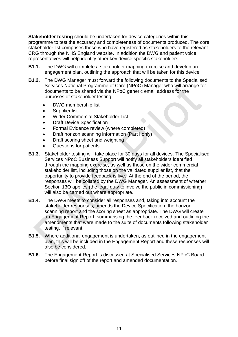**Stakeholder testing** should be undertaken for device categories within this programme to test the accuracy and completeness of documents produced. The core stakeholder list comprises those who have registered as stakeholders to the relevant CRG through the NHS England website. In addition the DWG and patient voice representatives will help identify other key device specific stakeholders.

- **B1.1.** The DWG will complete a stakeholder mapping exercise and develop an engagement plan, outlining the approach that will be taken for this device.
- **B1.2.** The DWG Manager must forward the following documents to the Specialised Services National Programme of Care (NPoC) Manager who will arrange for documents to be shared via the NPoC generic email address for the purposes of stakeholder testing:
	- DWG membership list
	- Supplier list
	- Wider Commercial Stakeholder List
	- Draft Device Specification
	- Formal Evidence review (where completed)
	- Draft horizon scanning information (Part I only)
	- Draft scoring sheet and weighting
	- Questions for patients
- **B1.3.** Stakeholder testing will take place for 30 days for all devices. The Specialised Services NPoC Business Support will notify all stakeholders identified through the mapping exercise, as well as those on the wider commercial stakeholder list, including those on the validated supplier list, that the opportunity to provide feedback is live. At the end of the period, the responses will be collated by the DWG Manager. An assessment of whether Section 13Q applies (the legal duty to involve the public in commissioning) will also be carried out where appropriate.
- **B1.4.** The DWG meets to consider all responses and, taking into account the stakeholder responses, amends the Device Specification, the horizon scanning report and the scoring sheet as appropriate. The DWG will create an Engagement Report, summarising the feedback received and outlining the amendments that were made to the suite of documents following stakeholder testing, if relevant.
- **B1.5.** Where additional engagement is undertaken, as outlined in the engagement plan, this will be included in the Engagement Report and these responses will also be considered.
- **B1.6.** The Engagement Report is discussed at Specialised Services NPoC Board before final sign off of the report and amended documentation.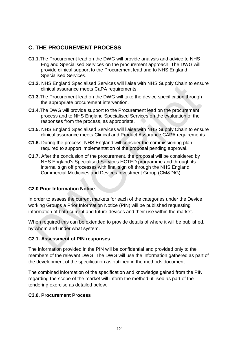# **C. THE PROCUREMENT PROCESS**

- **C1.1.**The Procurement lead on the DWG will provide analysis and advice to NHS England Specialised Services on the procurement approach. The DWG will provide clinical support to the Procurement lead and to NHS England Specialised Services.
- **C1.2.** NHS England Specialised Services will liaise with NHS Supply Chain to ensure clinical assurance meets CaPA requirements.
- **C1.3.**The Procurement lead on the DWG will take the device specification through the appropriate procurement intervention.
- **C1.4.**The DWG will provide support to the Procurement lead on the procurement process and to NHS England Specialised Services on the evaluation of the responses from the process, as appropriate.
- **C1.5.** NHS England Specialised Services will liaise with NHS Supply Chain to ensure clinical assurance meets Clinical and Product Assurance CAPA requirements.
- **C1.6.** During the process, NHS England will consider the commissioning plan required to support implementation of the proposal pending approval.
- **C1.7.** After the conclusion of the procurement, the proposal will be considered by NHS England's Specialised Services HCTED programme and through its internal sign off processes with final sign off through the NHS England Commercial Medicines and Devices Investment Group (CM&DIG).

## **C2.0 Prior Information Notice**

In order to assess the current markets for each of the categories under the Device working Groups a Prior Information Notice (PIN) will be published requesting information of both current and future devices and their use within the market.

When required this can be extended to provide details of where it will be published, by whom and under what system.

## **C2.1. Assessment of PIN responses**

The information provided in the PIN will be confidential and provided only to the members of the relevant DWG. The DWG will use the information gathered as part of the development of the specification as outlined in the methods document.

The combined information of the specification and knowledge gained from the PIN regarding the scope of the market will inform the method utilised as part of the tendering exercise as detailed below.

#### **C3.0. Procurement Process**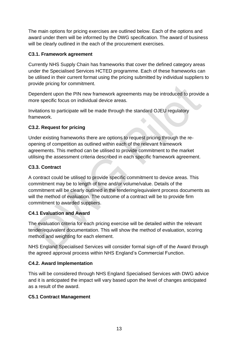The main options for pricing exercises are outlined below. Each of the options and award under them will be informed by the DWG specification. The award of business will be clearly outlined in the each of the procurement exercises.

# **C3.1. Framework agreement**

Currently NHS Supply Chain has frameworks that cover the defined category areas under the Specialised Services HCTED programme. Each of these frameworks can be utilised in their current format using the pricing submitted by individual suppliers to provide pricing for commitment.

Dependent upon the PIN new framework agreements may be introduced to provide a more specific focus on individual device areas.

Invitations to participate will be made through the standard OJEU regulatory framework.

# **C3.2. Request for pricing**

Under existing frameworks there are options to request pricing through the reopening of competition as outlined within each of the relevant framework agreements. This method can be utilised to provide commitment to the market utilising the assessment criteria described in each specific framework agreement.

# **C3.3. Contract**

A contract could be utilised to provide specific commitment to device areas. This commitment may be to length of time and/or volume/value. Details of the commitment will be clearly outlined in the tendering/equivalent process documents as will the method of evaluation. The outcome of a contract will be to provide firm commitment to awarded suppliers.

# **C4.1 Evaluation and Award**

The evaluation criteria for each pricing exercise will be detailed within the relevant tender/equivalent documentation. This will show the method of evaluation, scoring method and weighting for each element.

NHS England Specialised Services will consider formal sign-off of the Award through the agreed approval process within NHS England's Commercial Function.

# **C4.2. Award Implementation**

This will be considered through NHS England Specialised Services with DWG advice and it is anticipated the impact will vary based upon the level of changes anticipated as a result of the award.

# **C5.1 Contract Management**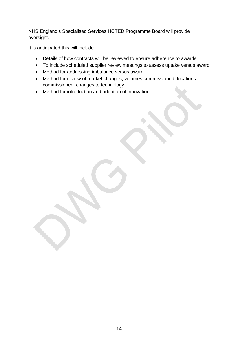NHS England's Specialised Services HCTED Programme Board will provide oversight.

It is anticipated this will include:

- Details of how contracts will be reviewed to ensure adherence to awards.
- To include scheduled supplier review meetings to assess uptake versus award
- Method for addressing imbalance versus award
- Method for review of market changes, volumes commissioned, locations commissioned, changes to technology
- Method for introduction and adoption of innovation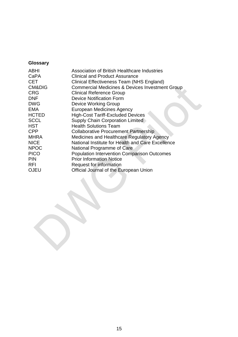# **Glossary**

<span id="page-14-0"></span>

| <b>ABHI</b>       | Association of British Healthcare Industries               |
|-------------------|------------------------------------------------------------|
| CaPA              | <b>Clinical and Product Assurance</b>                      |
| <b>CET</b>        | Clinical Effectiveness Team (NHS England)                  |
| <b>CM&amp;DIG</b> | <b>Commercial Medicines &amp; Devices Investment Group</b> |
| <b>CRG</b>        | <b>Clinical Reference Group</b>                            |
| <b>DNF</b>        | Device Notification Form                                   |
| <b>DWG</b>        | <b>Device Working Group</b>                                |
| <b>EMA</b>        | <b>European Medicines Agency</b>                           |
| <b>HCTED</b>      | <b>High-Cost Tariff-Excluded Devices</b>                   |
| <b>SCCL</b>       | <b>Supply Chain Corporation Limited</b>                    |
| <b>HST</b>        | <b>Health Solutions Team</b>                               |
| <b>CPP</b>        | <b>Collaborative Procurement Partnership</b>               |
| <b>MHRA</b>       | Medicines and Healthcare Regulatory Agency                 |
| <b>NICE</b>       | National Institute for Health and Care Excellence          |
| <b>NPOC</b>       | National Programme of Care                                 |
| <b>PICO</b>       | <b>Population Intervention Comparison Outcomes</b>         |
| <b>PIN</b>        | <b>Prior Information Notice</b>                            |
| <b>RFI</b>        | <b>Request for information</b>                             |
| <b>OJEU</b>       | Official Journal of the European Union                     |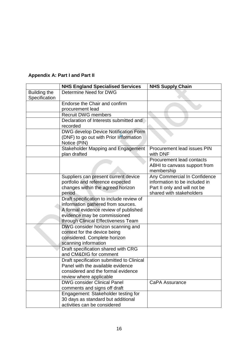|                                      | <b>NHS England Specialised Services</b>                                                                                                                                                        | <b>NHS Supply Chain</b>                                                                                                   |  |  |  |  |  |
|--------------------------------------|------------------------------------------------------------------------------------------------------------------------------------------------------------------------------------------------|---------------------------------------------------------------------------------------------------------------------------|--|--|--|--|--|
| <b>Building the</b><br>Specification | Determine Need for DWG                                                                                                                                                                         |                                                                                                                           |  |  |  |  |  |
|                                      | Endorse the Chair and confirm<br>procurement lead                                                                                                                                              |                                                                                                                           |  |  |  |  |  |
|                                      | <b>Recruit DWG members</b>                                                                                                                                                                     |                                                                                                                           |  |  |  |  |  |
|                                      | Declaration of Interests submitted and<br>recorded                                                                                                                                             |                                                                                                                           |  |  |  |  |  |
|                                      | DWG develop Device Notification Form<br>(DNF) to go out with Prior Information<br>Notice (PIN)                                                                                                 |                                                                                                                           |  |  |  |  |  |
|                                      | <b>Stakeholder Mapping and Engagement</b><br>plan drafted                                                                                                                                      | <b>Procurement lead issues PIN</b><br>with DNF                                                                            |  |  |  |  |  |
|                                      |                                                                                                                                                                                                | Procurement lead contacts<br>ABHI to canvass support from<br>membership                                                   |  |  |  |  |  |
|                                      | Suppliers can present current device<br>portfolio and reference expected<br>changes within the agreed horizon<br>period                                                                        | Any Commercial In Confidence<br>information to be included in<br>Part II only and will not be<br>shared with stakeholders |  |  |  |  |  |
|                                      | Draft specification to include review of<br>information gathered from sources.<br>A formal evidence review of published<br>evidence may be commissioned<br>through Clinical Effectiveness Team |                                                                                                                           |  |  |  |  |  |
|                                      | DWG consider horizon scanning and<br>context for the device being<br>considered. Complete horizon<br>scanning information                                                                      |                                                                                                                           |  |  |  |  |  |
|                                      | Draft specification shared with CRG<br>and CM&DIG for comment                                                                                                                                  |                                                                                                                           |  |  |  |  |  |
|                                      | Draft specification submitted to Clinical<br>Panel with the available evidence<br>considered and the formal evidence<br>review where applicable                                                |                                                                                                                           |  |  |  |  |  |
|                                      | <b>DWG consider Clinical Panel</b><br>comments and signs off draft                                                                                                                             | CaPA Assurance                                                                                                            |  |  |  |  |  |
|                                      | Engagement: Stakeholder testing for<br>30 days as standard but additional<br>activities can be considered                                                                                      |                                                                                                                           |  |  |  |  |  |

# **Appendix A: Part I and Part II**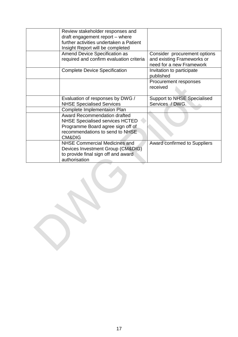| Review stakeholder responses and         |                                     |
|------------------------------------------|-------------------------------------|
| draft engagement report - where          |                                     |
| further activities undertaken a Patient  |                                     |
| Insight Report will be completed         |                                     |
| Amend Device Specification as            | Consider procurement options        |
| required and confirm evaluation criteria | and existing Frameworks or          |
|                                          | need for a new Framework            |
| <b>Complete Device Specification</b>     | Invitation to participate           |
|                                          | published                           |
|                                          | Procurement responses               |
|                                          | received                            |
| Evaluation of responses by DWG /         | <b>Support to NHSE Specialised</b>  |
| <b>NHSE Specialised Services</b>         | Services / DWG.                     |
| Complete Implementaion Plan              |                                     |
| <b>Award Recommendation drafted</b>      |                                     |
| <b>NHSE Specialised services HCTED</b>   |                                     |
| Programme Board agree sign off of        |                                     |
| recommendations to send to NHSE          |                                     |
| <b>CM&amp;DIG</b>                        |                                     |
| <b>NHSE Commercial Medicines and</b>     | <b>Award confirmed to Suppliers</b> |
| Devices Investment Group (CM&DIG)        |                                     |
| to provide final sign off and award      |                                     |
| authorisation                            |                                     |
|                                          |                                     |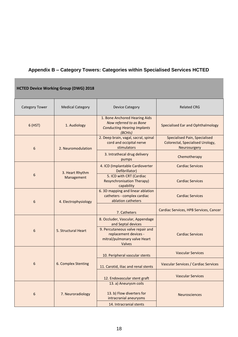# **Appendix B – Category Towers: Categories within Specialised Services HCTED**

| <b>HCTED Device Working Group (DWG) 2018</b> |                               |                                                                                                                                                               |                                                                                   |  |  |
|----------------------------------------------|-------------------------------|---------------------------------------------------------------------------------------------------------------------------------------------------------------|-----------------------------------------------------------------------------------|--|--|
| <b>Category Tower</b>                        | <b>Medical Category</b>       | <b>Device Category</b>                                                                                                                                        | <b>Related CRG</b>                                                                |  |  |
| $6$ (HST)                                    | 1. Audiology                  | 1. Bone Anchored Hearing Aids<br>Now referred to as Bone<br><b>Conducting Hearing Implants</b><br>(BCHIs)                                                     | Specialised Ear and Ophthalmology                                                 |  |  |
| 6                                            | 2. Neuromodulation            | 2. Deep brain, vagal, sacral, spinal<br>cord and occipital nerve<br>stimulators                                                                               | Specialised Pain, Specialised<br>Colorectal, Specialised Urology,<br>Neurosurgery |  |  |
|                                              |                               | 3. Intrathecal drug delivery<br>pumps                                                                                                                         | Chemotherapy                                                                      |  |  |
| 6                                            | 3. Heart Rhythm<br>Management | 4. ICD (Implantable Cardioverter<br>Defibrillator)                                                                                                            | <b>Cardiac Services</b>                                                           |  |  |
|                                              |                               | 5. ICD with CRT (Cardiac<br><b>Resynchronisation Therapy)</b><br>capability                                                                                   | <b>Cardiac Services</b>                                                           |  |  |
| 6                                            | 4. Electrophysiology          | 6. 3D mapping and linear ablation<br>catheters - complex cardiac<br>ablation catheters                                                                        | <b>Cardiac Services</b>                                                           |  |  |
|                                              |                               | 7. Catheters                                                                                                                                                  | Cardiac Services, HPB Services, Cancer                                            |  |  |
| 6                                            | 5. Structural Heart           | 8. Occluder, Vascular, Appendage<br>and Septal devices<br>9. Percutaneous valve repair and<br>replacement devices -<br>mitral/pulmonary valve Heart<br>Valves | <b>Cardiac Services</b>                                                           |  |  |
| 6                                            | 6. Complex Stenting           | 10. Peripheral vascular stents                                                                                                                                | <b>Vascular Services</b>                                                          |  |  |
|                                              |                               | 11. Carotid, iliac and renal stents                                                                                                                           | Vascular Services / Cardiac Services                                              |  |  |
|                                              |                               | 12. Endovascular stent graft                                                                                                                                  | <b>Vascular Services</b>                                                          |  |  |
| 6                                            | 7. Neuroradiology             | 13. a) Aneurysm coils<br>13. b) Flow diverters for<br>intracranial aneurysms<br>14. Intracranial stents                                                       | <b>Neurosciences</b>                                                              |  |  |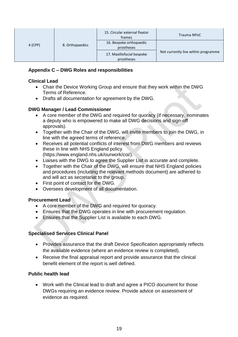| $4$ (CPP) | 8. Orthopaedics | 15. Circular external fixator<br>frames | Trauma NPoC                         |
|-----------|-----------------|-----------------------------------------|-------------------------------------|
|           |                 | 16. Bespoke orthopaedic<br>prostheses   | Not currently live within programme |
|           |                 | 17. Maxillofacial bespoke<br>prostheses |                                     |

# **Appendix C – DWG Roles and responsibilities**

# **Clinical Lead**

- Chair the Device Working Group and ensure that they work within the DWG Terms of Reference.
- Drafts all documentation for agreement by the DWG.

# **DWG Manager / Lead Commissioner**

- A core member of the DWG and required for quoracy (if necessary, nominates a deputy who is empowered to make all DWG decisions and sign-off approvals).
- Together with the Chair of the DWG, will invite members to join the DWG, in line with the agreed terms of reference.
- Receives all potential conflicts of interest from DWG members and reviews these in line with NHS England policy (https://www.england.nhs.uk/ourwork/coi/).
- Liaises with the DWG to agree the Supplier List is accurate and complete.
- Together with the Chair of the DWG, will ensure that NHS England policies and procedures (including the relevant methods document) are adhered to and will act as secretariat to the group.
- First point of contact for the DWG.
- Oversees development of all documentation.

## **Procurement Lead**

- A core member of the DWG and required for quoracy.
- Ensures that the DWG operates in line with procurement regulation.
- Ensures that the Supplier List is available to each DWG.

## **Specialised Services Clinical Panel**

- Provides assurance that the draft Device Specification appropriately reflects the available evidence (where an evidence review is completed).
- Receive the final appraisal report and provide assurance that the clinical benefit element of the report is well defined.

# **Public health lead**

 Work with the Clinical lead to draft and agree a PICO document for those DWGs requiring an evidence review. Provide advice on assessment of evidence as required.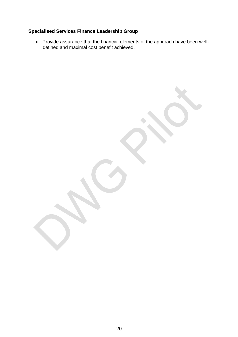# **Specialised Services Finance Leadership Group**

 Provide assurance that the financial elements of the approach have been welldefined and maximal cost benefit achieved.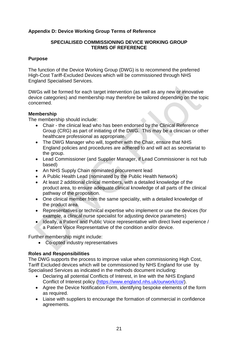## **Appendix D: Device Working Group Terms of Reference**

#### **SPECIALISED COMMISSIONING DEVICE WORKING GROUP TERMS OF REFERENCE**

#### **Purpose**

The function of the Device Working Group (DWG) is to recommend the preferred High-Cost Tariff-Excluded Devices which will be commissioned through NHS England Specialised Services.

DWGs will be formed for each target intervention (as well as any new or innovative device categories) and membership may therefore be tailored depending on the topic concerned.

#### **Membership**

The membership should include:

- Chair the clinical lead who has been endorsed by the Clinical Reference Group (CRG) as part of initiating of the DWG. This may be a clinician or other healthcare professional as appropriate.
- The DWG Manager who will, together with the Chair, ensure that NHS England policies and procedures are adhered to and will act as secretariat to the group.
- Lead Commissioner (and Supplier Manager, if Lead Commissioner is not hub based)
- An NHS Supply Chain nominated procurement lead
- A Public Health Lead (nominated by the Public Health Network)
- At least 2 additional clinical members, with a detailed knowledge of the product area, to ensure adequate clinical knowledge of all parts of the clinical pathway of the proposition.
- One clinical member from the same speciality, with a detailed knowledge of the product area.
- Representatives or technical expertise who implement or use the devices (for example, a clinical nurse specialist for adjusting device parameters)
- Ideally, a Patient and Public Voice representative with direct lived experience / a Patient Voice Representative of the condition and/or device.

Further membership might include:

Co-opted industry representatives

#### **Roles and Responsibilities**

The DWG supports the process to improve value when commissioning High Cost, Tariff Excluded devices which will be commissioned by NHS England for use by Specialised Services as indicated in the methods document including:

- Declaring all potential Conflicts of Interest, in line with the NHS England Conflict of Interest policy [\(https://www.england.nhs.uk/ourwork/coi/\)](https://www.england.nhs.uk/ourwork/coi/).
- Agree the Device Notification Form, identifying bespoke elements of the form as required.
- Liaise with suppliers to encourage the formation of commercial in confidence agreements.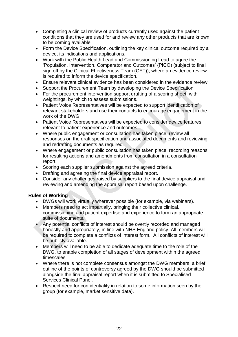- Completing a clinical review of products currently used against the patient conditions that they are used for and review any other products that are known to be coming available.
- Form the Device Specification, outlining the key clinical outcome required by a device, its indications and applications.
- Work with the Public Health Lead and Commissioning Lead to agree the 'Population, Intervention, Comparator and Outcomes' (PICO) (subject to final sign off by the Clinical Effectiveness Team (CET)), where an evidence review is required to inform the device specification.
- Ensure relevant clinical evidence has been considered in the evidence review.
- Support the Procurement Team by developing the Device Specification
- For the procurement intervention support drafting of a scoring sheet, with weightings, by which to assess submissions.
- Patient Voice Representatives will be expected to support identification of relevant stakeholders and use their contacts to encourage engagement in the work of the DWG.
- Patient Voice Representatives will be expected to consider device features relevant to patient experience and outcomes
- Where public engagement or consultation has taken place, review all responses on the draft specification and associated documents and reviewing and redrafting documents as required.
- Where engagement or public consultation has taken place, recording reasons for resulting actions and amendments from consultation in a consultation report.
- Scoring each supplier submission against the agreed criteria.
- Drafting and agreeing the final device appraisal report.
- Consider any challenges raised by suppliers to the final device appraisal and reviewing and amending the appraisal report based upon challenge.

#### **Rules of Working**

- DWGs will work virtually wherever possible (for example, via webinars).
- Members need to act impartially, bringing their collective clinical, commissioning and patient expertise and experience to form an appropriate suite of documents.
- Any potential conflicts of interest should be overtly recorded and managed honestly and appropriately, in line with NHS England policy. All members will be required to complete a conflicts of interest form. All conflicts of interest will be publicly available.
- Members will need to be able to dedicate adequate time to the role of the DWG, to enable completion of all stages of development within the agreed timescales
- Where there is not complete consensus amongst the DWG members, a brief outline of the points of controversy agreed by the DWG should be submitted alongside the final appraisal report when it is submitted to Specialised Services Clinical Panel.
- Respect need for confidentiality in relation to some information seen by the group (for example, market sensitive data).